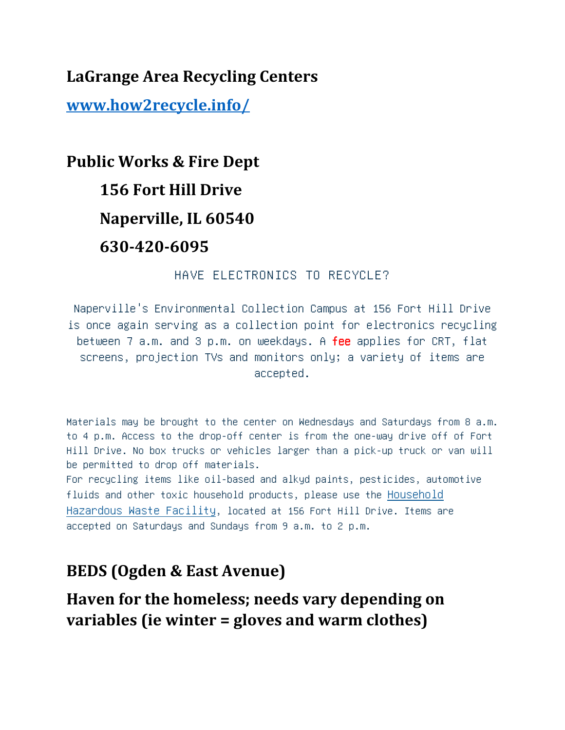**LaGrange Area Recycling Centers**

**www.how2recycle.info/**

**Public Works & Fire Dept 156 Fort Hill Drive Naperville, IL 60540 630-420-6095**

HAVE ELECTRONICS TO RECYCLE?

Naperville's Environmental Collection Campus at 156 Fort Hill Drive is once again serving as a collection point for electronics recycling between 7 a.m. and 3 p.m. on weekdays. A fee applies for CRT, flat screens, projection TVs and monitors only; a variety of items are accepted.

Materials may be brought to the center on Wednesdays and Saturdays from 8 a.m. to 4 p.m. Access to the drop-off center is from the one-way drive off of Fort Hill Drive. No box trucks or vehicles larger than a pick-up truck or van will be permitted to drop off materials.

For recycling items like oil-based and alkyd paints, pesticides, automotive fluids and other toxic household products, please use the Household Hazardous Waste Facility, located at 156 Fort Hill Drive. Items are accepted on Saturdays and Sundays from 9 a.m. to 2 p.m.

### **BEDS (Ogden & East Avenue)**

**Haven for the homeless; needs vary depending on variables (ie winter = gloves and warm clothes)**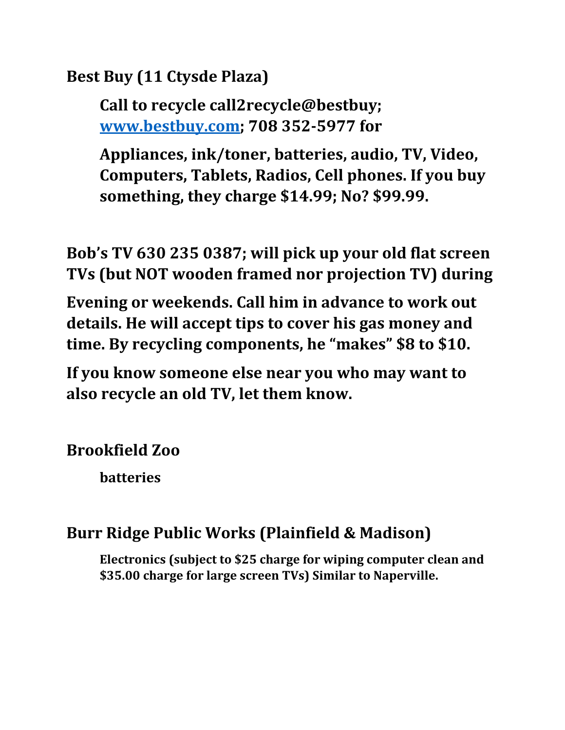**Best Buy (11 Ctysde Plaza)**

**Call to recycle call2recycle@bestbuy; www.bestbuy.com; 708 352-5977 for**

**Appliances, ink/toner, batteries, audio, TV, Video, Computers, Tablets, Radios, Cell phones. If you buy something, they charge \$14.99; No? \$99.99.**

**Bob's TV 630 235 0387; will pick up your old flat screen TVs (but NOT wooden framed nor projection TV) during**

**Evening or weekends. Call him in advance to work out details. He will accept tips to cover his gas money and time. By recycling components, he "makes" \$8 to \$10.**

**If you know someone else near you who may want to also recycle an old TV, let them know.**

**Brookfield Zoo**

**batteries**

### **Burr Ridge Public Works (Plainfield & Madison)**

**Electronics (subject to \$25 charge for wiping computer clean and \$35.00 charge for large screen TVs) Similar to Naperville.**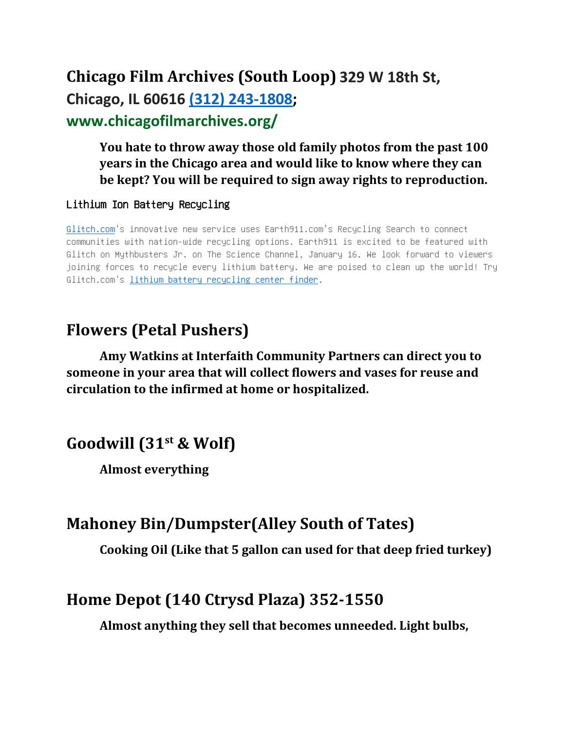# **Chicago Film Archives (South Loop) 329 W 18th St, Chicago, IL 60616 (312) 243‐1808; www.chicagofilmarchives.org/**

#### **You hate to throw away those old family photos from the past 100 years in the Chicago area and would like to know where they can be kept? You will be required to sign away rights to reproduction.**

#### Lithium Ion Battery Recycling

Glitch.com's innovative new service uses Earth911.com's Recycling Search to connect communities with nation-wide recycling options. Earth911 is excited to be featured with Glitch on Mythbusters Jr. on The Science Channel, January 16. We look forward to viewers joining forces to recycle every lithium battery. We are poised to clean up the world! Try Glitch.com's lithium battery recycling center finder.

## **Flowers (Petal Pushers)**

**Amy Watkins at Interfaith Community Partners can direct you to someone in your area that will collect flowers and vases for reuse and circulation to the infirmed at home or hospitalized.**

## **Goodwill (31st & Wolf)**

**Almost everything**

### **Mahoney Bin/Dumpster(Alley South of Tates)**

**Cooking Oil (Like that 5 gallon can used for that deep fried turkey)**

### **Home Depot (140 Ctrysd Plaza) 352-1550**

**Almost anything they sell that becomes unneeded. Light bulbs,**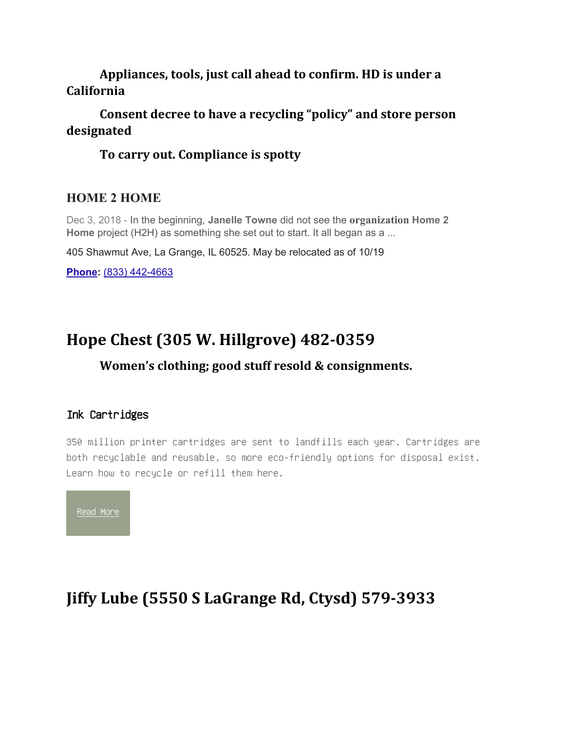#### **Appliances, tools, just call ahead to confirm. HD is under a California**

#### **Consent decree to have a recycling "policy" and store person designated**

#### **To carry out. Compliance is spotty**

#### **HOME 2 HOME**

Dec 3, 2018 - In the beginning, **Janelle Towne** did not see the **organization Home 2 Home** project (H2H) as something she set out to start. It all began as a ...

405 Shawmut Ave, La Grange, IL 60525. May be relocated as of 10/19

**Phone:** (833) 442-4663

### **Hope Chest (305 W. Hillgrove) 482-0359**

#### **Women's clothing; good stuff resold & consignments.**

#### Ink Cartridges

350 million printer cartridges are sent to landfills each year. Cartridges are both recyclable and reusable, so more eco-friendly options for disposal exist. Learn how to recycle or refill them here.



## **Jiffy Lube (5550 S LaGrange Rd, Ctysd) 579-3933**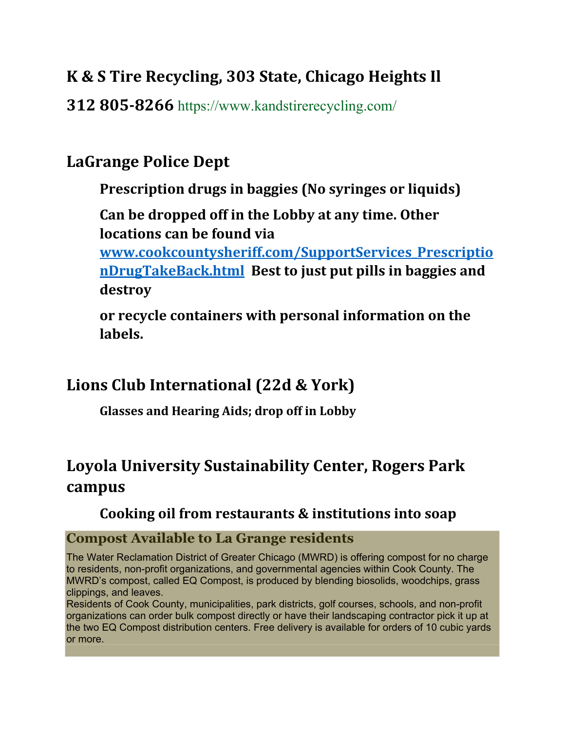## **K & S Tire Recycling, 303 State, Chicago Heights Il**

**312 805-8266** https://www.kandstirerecycling.com/

## **LaGrange Police Dept**

**Prescription drugs in baggies (No syringes or liquids)**

**Can be dropped off in the Lobby at any time. Other locations can be found via**

**www.cookcountysheriff.com/SupportServices\_Prescriptio nDrugTakeBack.html Best to just put pills in baggies and destroy**

**or recycle containers with personal information on the labels.**

## **Lions Club International (22d & York)**

**Glasses and Hearing Aids; drop off in Lobby**

# **Loyola University Sustainability Center, Rogers Park campus**

#### **Cooking oil from restaurants & institutions into soap**

#### **Compost Available to La Grange residents**

The Water Reclamation District of Greater Chicago (MWRD) is offering compost for no charge to residents, non-profit organizations, and governmental agencies within Cook County. The MWRD's compost, called EQ Compost, is produced by blending biosolids, woodchips, grass clippings, and leaves.

Residents of Cook County, municipalities, park districts, golf courses, schools, and non-profit organizations can order bulk compost directly or have their landscaping contractor pick it up at the two EQ Compost distribution centers. Free delivery is available for orders of 10 cubic yards or more.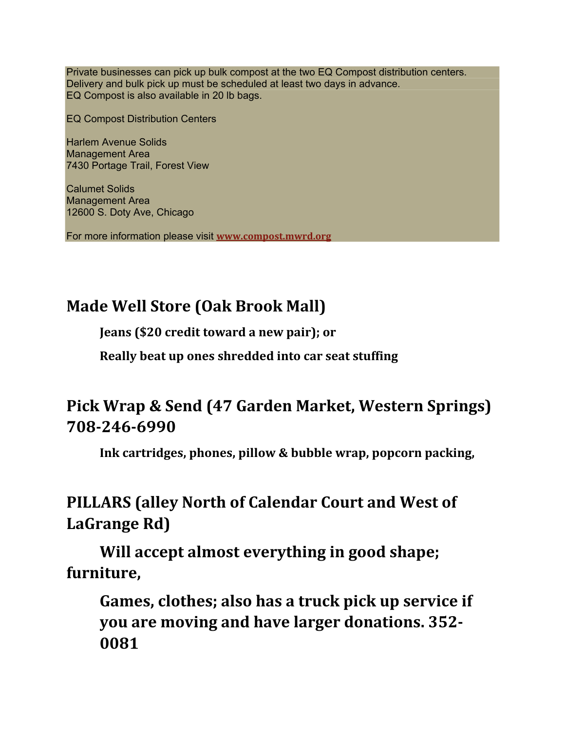Private businesses can pick up bulk compost at the two EQ Compost distribution centers. Delivery and bulk pick up must be scheduled at least two days in advance. EQ Compost is also available in 20 lb bags.

EQ Compost Distribution Centers

Harlem Avenue Solids Management Area 7430 Portage Trail, Forest View

Calumet Solids Management Area 12600 S. Doty Ave, Chicago

For more information please visit **www.compost.mwrd.org**

# **Made Well Store (Oak Brook Mall)**

**Jeans (\$20 credit toward a new pair); or**

**Really beat up ones shredded into car seat stuffing**

## **Pick Wrap & Send (47 Garden Market, Western Springs) 708-246-6990**

**Ink cartridges, phones, pillow & bubble wrap, popcorn packing,**

## **PILLARS (alley North of Calendar Court and West of LaGrange Rd)**

**Will accept almost everything in good shape; furniture,**

**Games, clothes; also has a truck pick up service if you are moving and have larger donations. 352- 0081**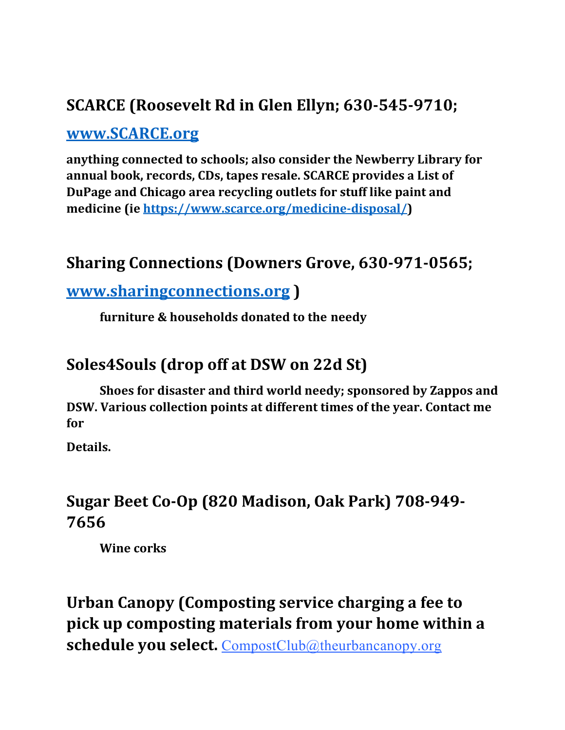## **SCARCE (Roosevelt Rd in Glen Ellyn; 630-545-9710;**

### **www.SCARCE.org**

**anything connected to schools; also consider the Newberry Library for annual book, records, CDs, tapes resale. SCARCE provides a List of DuPage and Chicago area recycling outlets for stuff like paint and medicine (ie https://www.scarce.org/medicine-disposal/)**

## **Sharing Connections (Downers Grove, 630-971-0565;**

### **www.sharingconnections.org )**

**furniture & households donated to the needy**

### **Soles4Souls (drop off at DSW on 22d St)**

**Shoes for disaster and third world needy; sponsored by Zappos and DSW. Various collection points at different times of the year. Contact me for**

**Details.**

## **Sugar Beet Co-Op (820 Madison, Oak Park) 708-949- 7656**

**Wine corks**

# **Urban Canopy (Composting service charging a fee to pick up composting materials from your home within a schedule you select.** CompostClub@theurbancanopy.org